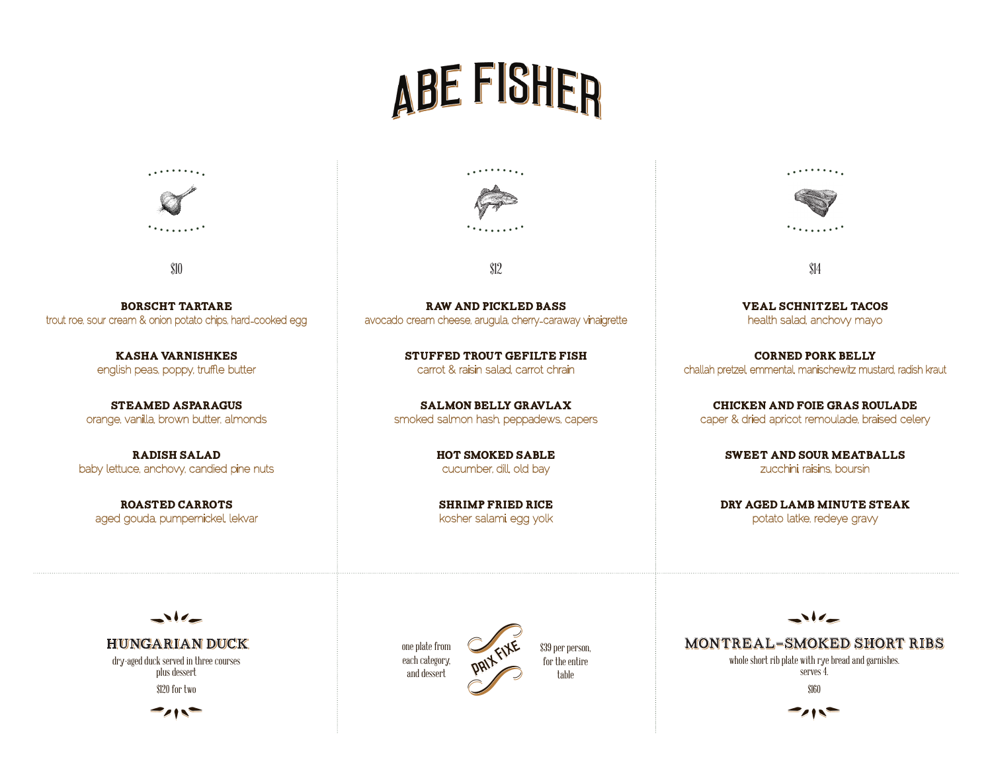# ABE FISHER



\$10

Borscht Tartare trout roe, sour cream & onion potato chips, hard-cooked egg

> Kasha varnishkes english peas, poppy, truffle butter

Steamed Asparagus orange, vanilla, brown butter, almonds

Radish Salad baby lettuce, anchovy, candied pine nuts

Roasted Carrots aged gouda, pumpernickel, lekvar



\$12

raw and pickled bass avocado cream cheese, arugula, cherry-caraway vinaigrette

> Stuffed Trout Gefilte Fish carrot & raisin salad, carrot chrain

Salmon Belly gravlax smoked salmon hash, peppadews, capers

> Hot Smoked Sable cucumber, dill, old bay

> shrimp fried rice kosher salami, egg yolk



\$14

Veal Schnitzel Tacos health salad, anchovy mayo

Corned Pork Belly challah pretzel, emmental, manischewitz mustard, radish kraut

Chicken and foie gras Roulade caper & dried apricot remoulade, braised celery

> sweet and sour meatballs zucchini, raisins, boursin

Dry aged Lamb minute steak potato latke, redeye gravy

 $\Delta$ 6

**HUNGARIAN DUCK** dry-aged duck served in three courses plus dessert \$120 for two



one plate from each category, and dessert



\$39 per person, for the entire

montreal-smoked short ribs montreal-smoked short ribs whole short rib plate with rye bread and garnishes. serves 4. \$160

 $\rightarrow$ 

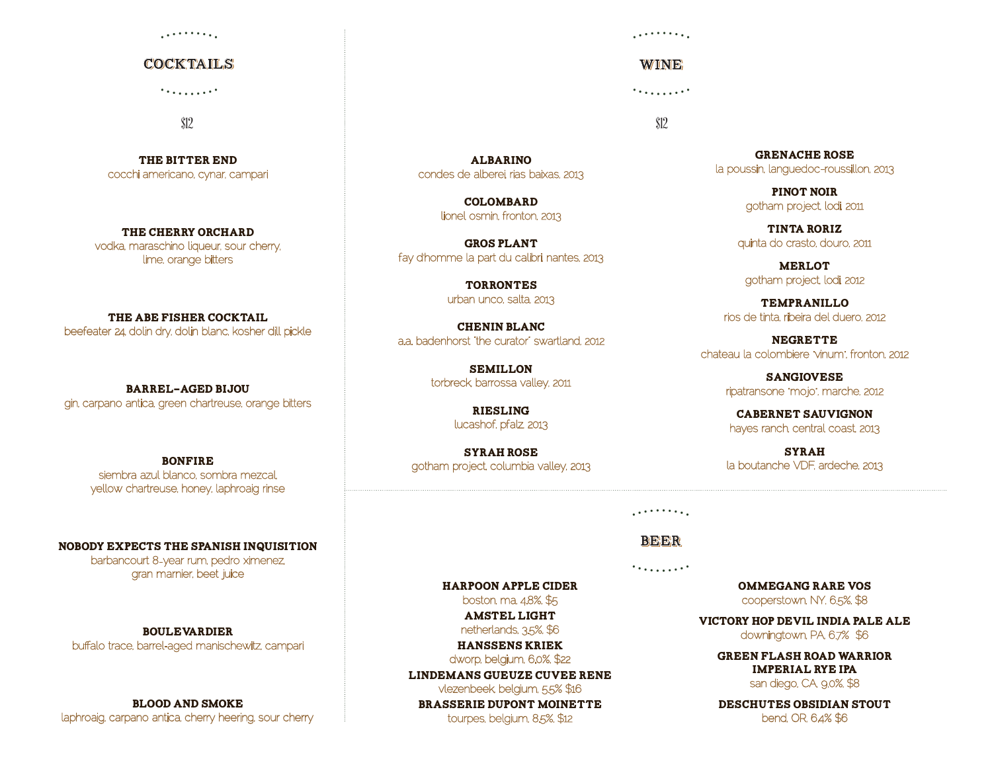#### 2000 F 100 100

### cocktails cocktails 7

\$12

The Bitter End cocchi americano, cynar, campari

THE CHERRY ORCHARD vodka, maraschino liqueur, sour cherry, lime, orange bitters

THE ABE FISHER COCKTAIL beefeater 24, dolin dry, dolin blanc, kosher dill pickle

Barrel-aged Bijou gin, carpano antica, green chartreuse, orange bitters

> **BONFIRE** siembra azul blanco, sombra mezcal, yellow chartreuse, honey, laphroaig rinse

Nobody Expects the Spanish Inquisition barbancourt 8-year rum, pedro ximenez, gran marnier, beet juice

Boulevardier buffalo trace, barrel-aged manischewitz, campari

Blood and Smoke laphroaig, carpano antica, cherry heering, sour cherry . . . . . . . . . <u>.</u>

WINE<sup>®</sup>

\$12

albarino condes de alberei, rias baixas, 2013

> colombard lionel osmin, fronton, 2013

Gros Plant fay d' homme la part du calibri, nantes, 2013

> **TORRONTES** urban unco, salta, 2013

chenin Blanc a.a. badenhorst "the curator" swartland, 2012

> **SEMILLON** torbreck, barrossa valley, 2011

> > **RIESLING** lucashof, pfalz, 2013

syrah rose gotham project, columbia valley, 2013

grenache rose la poussin, languedoc-roussillon, 2013

> pinot noir gotham project, lodi, 2011

tinta roriz quinta do crasto, douro, 2011

**MERLOT** gotham project, lodi, 2012

tempranillo rios de tinta, ribeira del duero, 2012

**NEGRETTE** chateau la colombiere "vinum", fronton, 2012

> sangiovese ripatransone "mojo", marche, 2012

Cabernet Sauvignon hayes ranch, central coast, 2013

**SYRAH** la boutanche VDF, ardeche, 2013

2000 - 100 A

7 beer beer

Harpoon Apple Cider boston, ma, 4.8%, \$5 Amstel Light netherlands, 3.5%, \$6 Hanssens Kriek dworp, belgium, 6.0%, \$22 Lindemans Gueuze Cuvee Rene vlezenbeek, belgium, 5.5% \$16 Brasserie Dupont moinette tourpes, belgium, 8.5%, \$12

Ommegang Rare Vos cooperstown, NY, 6.5%, \$8

Victory Hop Devil India Pale Ale downingtown, PA, 6.7% \$6

> Green Flash Road Warrior Imperial Rye IPA san diego, CA, 9.0%, \$8

> Deschutes Obsidian Stout bend, OR, 64% \$6